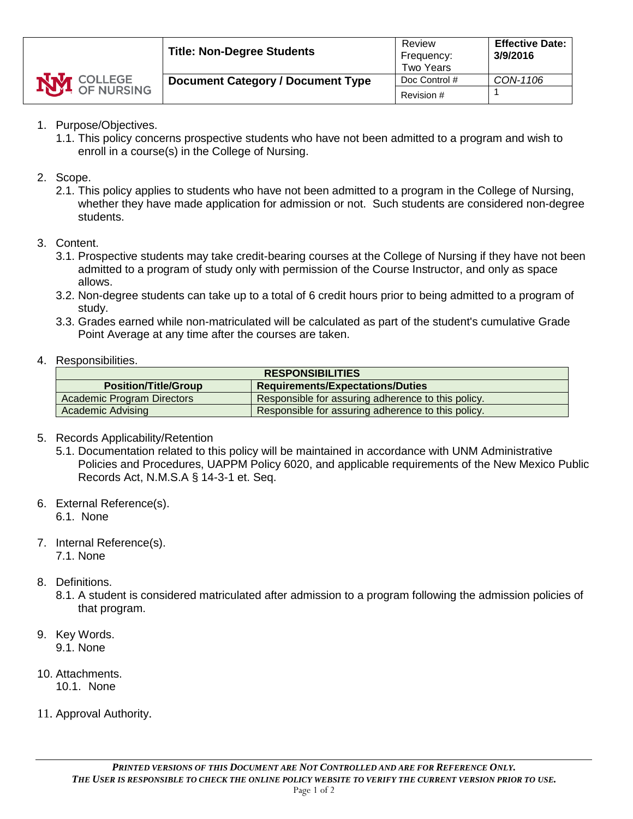

## 1. Purpose/Objectives.

- 1.1. This policy concerns prospective students who have not been admitted to a program and wish to enroll in a course(s) in the College of Nursing.
- 2. Scope.
	- 2.1. This policy applies to students who have not been admitted to a program in the College of Nursing, whether they have made application for admission or not. Such students are considered non-degree students.
- 3. Content.
	- 3.1. Prospective students may take credit-bearing courses at the College of Nursing if they have not been admitted to a program of study only with permission of the Course Instructor, and only as space allows.
	- 3.2. Non-degree students can take up to a total of 6 credit hours prior to being admitted to a program of study.
	- 3.3. Grades earned while non-matriculated will be calculated as part of the student's cumulative Grade Point Average at any time after the courses are taken.
- 4. Responsibilities.

| <b>RESPONSIBILITIES</b>     |                                                    |  |  |  |
|-----------------------------|----------------------------------------------------|--|--|--|
| <b>Position/Title/Group</b> | <b>Requirements/Expectations/Duties</b>            |  |  |  |
| Academic Program Directors  | Responsible for assuring adherence to this policy. |  |  |  |
| Academic Advising           | Responsible for assuring adherence to this policy. |  |  |  |

- 5. Records Applicability/Retention
	- 5.1. Documentation related to this policy will be maintained in accordance with UNM Administrative Policies and Procedures, UAPPM Policy 6020, and applicable requirements of the New Mexico Public Records Act, N.M.S.A § 14-3-1 et. Seq.
- 6. External Reference(s).

- 7. Internal Reference(s). 7.1. None
- 8. Definitions.
	- 8.1. A student is considered matriculated after admission to a program following the admission policies of that program.
- 9. Key Words. 9.1. None
- 10. Attachments.
	- 10.1. None
- 11. Approval Authority.

<sup>6.1.</sup> None